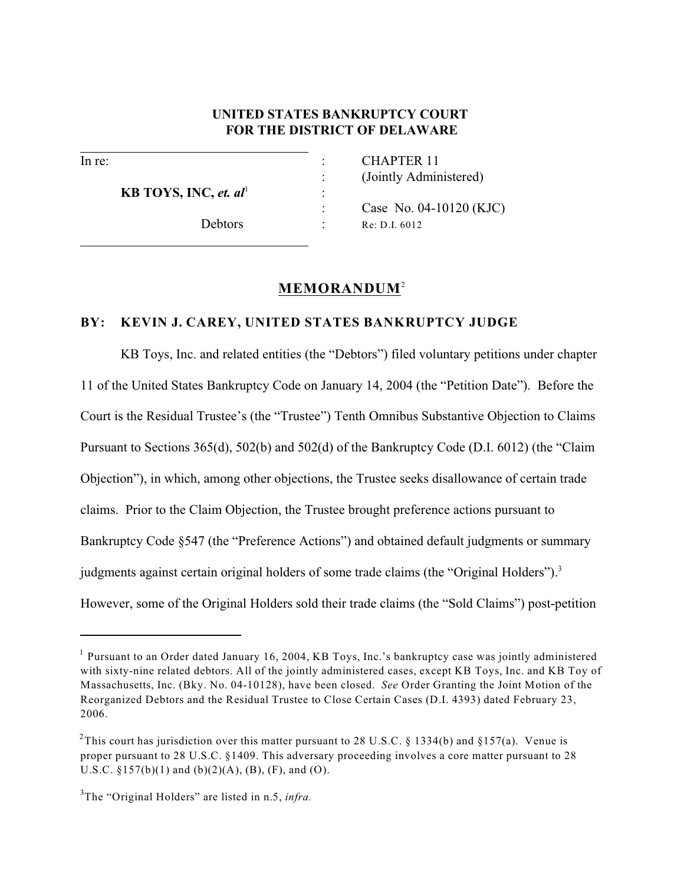## **UNITED STATES BANKRUPTCY COURT FOR THE DISTRICT OF DELAWARE**

l

 $\overline{a}$ 

**KB TOYS, INC,** *et.* $al^1$  **:** 

In re:  $CHAPTER$  11 : (Jointly Administered)

> Case No. 04-10120 (KJC) Debtors : Re: D.I. 6012

# **MEMORANDUM**<sup>2</sup>

## **BY: KEVIN J. CAREY, UNITED STATES BANKRUPTCY JUDGE**

KB Toys, Inc. and related entities (the "Debtors") filed voluntary petitions under chapter 11 of the United States Bankruptcy Code on January 14, 2004 (the "Petition Date"). Before the Court is the Residual Trustee's (the "Trustee") Tenth Omnibus Substantive Objection to Claims Pursuant to Sections 365(d), 502(b) and 502(d) of the Bankruptcy Code (D.I. 6012) (the "Claim Objection"), in which, among other objections, the Trustee seeks disallowance of certain trade claims. Prior to the Claim Objection, the Trustee brought preference actions pursuant to Bankruptcy Code §547 (the "Preference Actions") and obtained default judgments or summary judgments against certain original holders of some trade claims (the "Original Holders").<sup>3</sup> However, some of the Original Holders sold their trade claims (the "Sold Claims") post-petition

 $<sup>1</sup>$  Pursuant to an Order dated January 16, 2004, KB Toys, Inc.'s bankruptcy case was jointly administered</sup> with sixty-nine related debtors. All of the jointly administered cases, except KB Toys, Inc. and KB Toy of Massachusetts, Inc. (Bky. No. 04-10128), have been closed. *See* Order Granting the Joint Motion of the Reorganized Debtors and the Residual Trustee to Close Certain Cases (D.I. 4393) dated February 23, 2006.

<sup>&</sup>lt;sup>2</sup>This court has jurisdiction over this matter pursuant to 28 U.S.C. § 1334(b) and §157(a). Venue is proper pursuant to 28 U.S.C. §1409. This adversary proceeding involves a core matter pursuant to 28 U.S.C.  $\S 157(b)(1)$  and  $(b)(2)(A)$ ,  $(B)$ ,  $(F)$ , and  $(O)$ .

<sup>&</sup>lt;sup>3</sup>The "Original Holders" are listed in n.5, *infra*.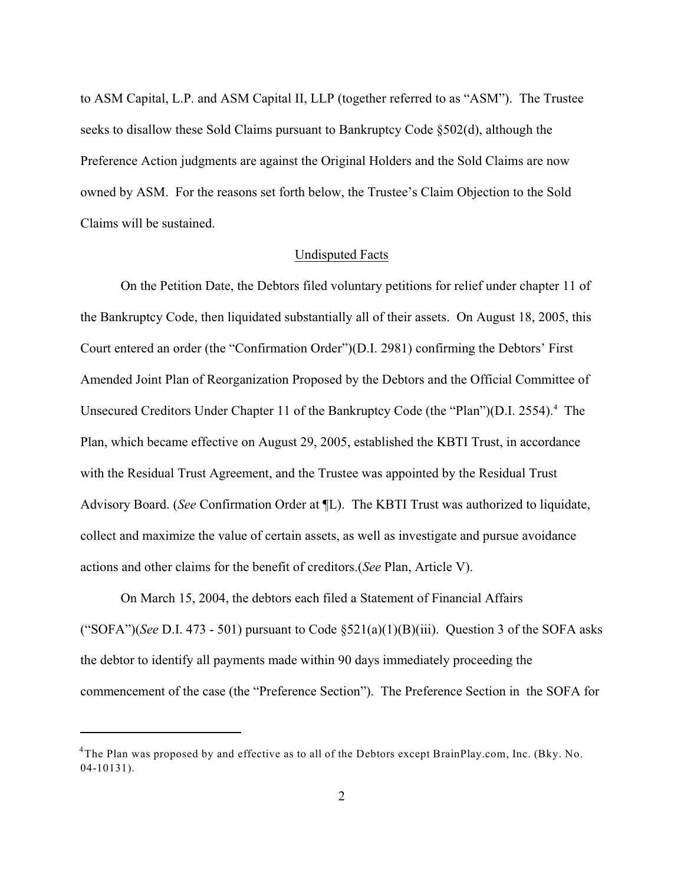to ASM Capital, L.P. and ASM Capital II, LLP (together referred to as "ASM"). The Trustee seeks to disallow these Sold Claims pursuant to Bankruptcy Code §502(d), although the Preference Action judgments are against the Original Holders and the Sold Claims are now owned by ASM. For the reasons set forth below, the Trustee's Claim Objection to the Sold Claims will be sustained.

#### Undisputed Facts

On the Petition Date, the Debtors filed voluntary petitions for relief under chapter 11 of the Bankruptcy Code, then liquidated substantially all of their assets. On August 18, 2005, this Court entered an order (the "Confirmation Order")(D.I. 2981) confirming the Debtors' First Amended Joint Plan of Reorganization Proposed by the Debtors and the Official Committee of Unsecured Creditors Under Chapter 11 of the Bankruptcy Code (the "Plan")(D.I. 2554).<sup>4</sup> The Plan, which became effective on August 29, 2005, established the KBTI Trust, in accordance with the Residual Trust Agreement, and the Trustee was appointed by the Residual Trust Advisory Board. (*See* Confirmation Order at ¶L). The KBTI Trust was authorized to liquidate, collect and maximize the value of certain assets, as well as investigate and pursue avoidance actions and other claims for the benefit of creditors.(*See* Plan, Article V).

On March 15, 2004, the debtors each filed a Statement of Financial Affairs ("SOFA")(*See* D.I. 473 - 501) pursuant to Code  $\S 521(a)(1)(B)(iii)$ . Question 3 of the SOFA asks the debtor to identify all payments made within 90 days immediately proceeding the commencement of the case (the "Preference Section"). The Preference Section in the SOFA for

 $4$ The Plan was proposed by and effective as to all of the Debtors except BrainPlay.com, Inc. (Bky. No. 04-10131).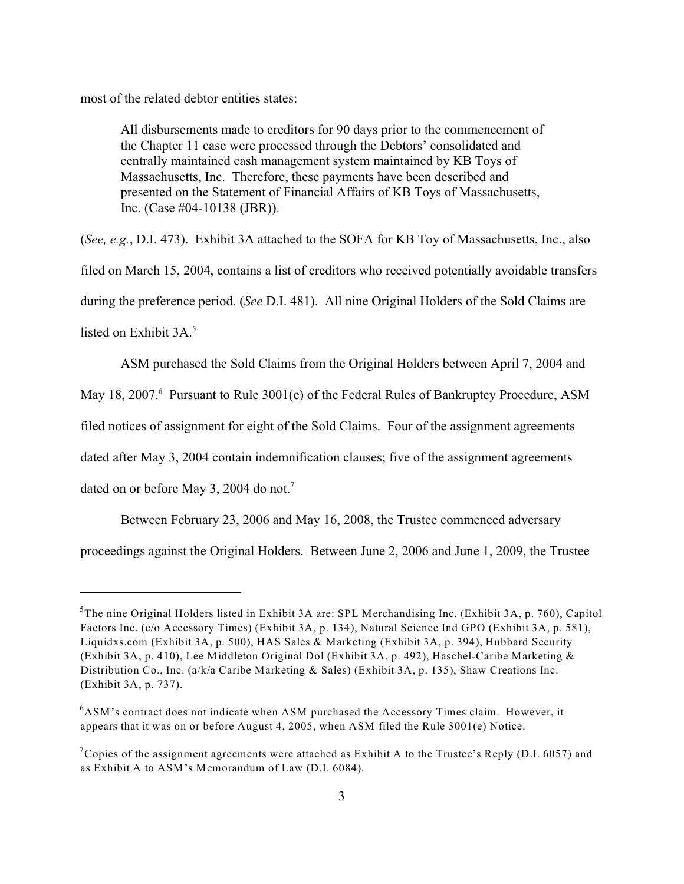most of the related debtor entities states:

All disbursements made to creditors for 90 days prior to the commencement of the Chapter 11 case were processed through the Debtors' consolidated and centrally maintained cash management system maintained by KB Toys of Massachusetts, Inc. Therefore, these payments have been described and presented on the Statement of Financial Affairs of KB Toys of Massachusetts, Inc. (Case #04-10138 (JBR)).

(*See, e.g.*, D.I. 473). Exhibit 3A attached to the SOFA for KB Toy of Massachusetts, Inc., also filed on March 15, 2004, contains a list of creditors who received potentially avoidable transfers during the preference period. (*See* D.I. 481). All nine Original Holders of the Sold Claims are listed on Exhibit  $3A$ <sup>5</sup>

ASM purchased the Sold Claims from the Original Holders between April 7, 2004 and

May 18, 2007.<sup>6</sup> Pursuant to Rule 3001(e) of the Federal Rules of Bankruptcy Procedure, ASM

filed notices of assignment for eight of the Sold Claims. Four of the assignment agreements

dated after May 3, 2004 contain indemnification clauses; five of the assignment agreements

dated on or before May 3, 2004 do not.<sup>7</sup>

Between February 23, 2006 and May 16, 2008, the Trustee commenced adversary proceedings against the Original Holders. Between June 2, 2006 and June 1, 2009, the Trustee

<sup>&</sup>lt;sup>5</sup>The nine Original Holders listed in Exhibit 3A are: SPL Merchandising Inc. (Exhibit 3A, p. 760), Capitol Factors Inc. (c/o Accessory Times) (Exhibit 3A, p. 134), Natural Science Ind GPO (Exhibit 3A, p. 581), Liquidxs.com (Exhibit 3A, p. 500), HAS Sales & Marketing (Exhibit 3A, p. 394), Hubbard Security (Exhibit 3A, p. 410), Lee Middleton Original Dol (Exhibit 3A, p. 492), Haschel-Caribe Marketing & Distribution Co., Inc. (a/k/a Caribe Marketing & Sales) (Exhibit 3A, p. 135), Shaw Creations Inc. (Exhibit 3A, p. 737).

 $6$ ASM's contract does not indicate when ASM purchased the Accessory Times claim. However, it appears that it was on or before August 4, 2005, when ASM filed the Rule 3001(e) Notice.

<sup>&</sup>lt;sup>7</sup> Copies of the assignment agreements were attached as Exhibit A to the Trustee's Reply (D.I. 6057) and as Exhibit A to ASM's Memorandum of Law (D.I. 6084).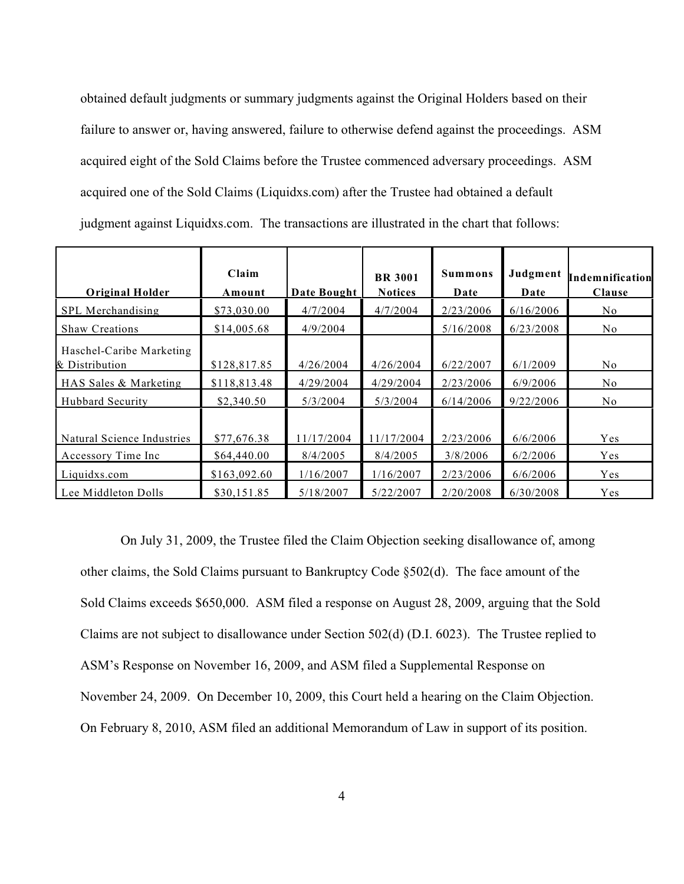obtained default judgments or summary judgments against the Original Holders based on their failure to answer or, having answered, failure to otherwise defend against the proceedings. ASM acquired eight of the Sold Claims before the Trustee commenced adversary proceedings. ASM acquired one of the Sold Claims (Liquidxs.com) after the Trustee had obtained a default judgment against Liquidxs.com. The transactions are illustrated in the chart that follows:

| <b>Original Holder</b>                     | Claim<br>Amount | Date Bought | <b>BR</b> 3001<br><b>Notices</b> | <b>Summons</b><br>Date | Judgment<br>Date | Indemnification<br>Clause |
|--------------------------------------------|-----------------|-------------|----------------------------------|------------------------|------------------|---------------------------|
| SPL Merchandising                          | \$73,030.00     | 4/7/2004    | 4/7/2004                         | 2/23/2006              | 6/16/2006        | No.                       |
| <b>Shaw Creations</b>                      | \$14,005.68     | 4/9/2004    |                                  | 5/16/2008              | 6/23/2008        | N <sub>0</sub>            |
| Haschel-Caribe Marketing<br>& Distribution | \$128,817.85    | 4/26/2004   | 4/26/2004                        | 6/22/2007              | 6/1/2009         | N <sub>o</sub>            |
| HAS Sales & Marketing                      | \$118,813.48    | 4/29/2004   | 4/29/2004                        | 2/23/2006              | 6/9/2006         | N <sub>0</sub>            |
| <b>Hubbard Security</b>                    | \$2,340.50      | 5/3/2004    | 5/3/2004                         | 6/14/2006              | 9/22/2006        | No.                       |
| Natural Science Industries                 | \$77,676.38     | 1/17/2004   | 11/17/2004                       | 2/23/2006              | 6/6/2006         | Yes                       |
| Accessory Time Inc                         | \$64,440.00     | 8/4/2005    | 8/4/2005                         | 3/8/2006               | 6/2/2006         | Yes                       |
| Liquidxs.com                               | \$163,092.60    | 1/16/2007   | 1/16/2007                        | 2/23/2006              | 6/6/2006         | Yes                       |
| Lee Middleton Dolls                        | \$30,151.85     | 5/18/2007   | 5/22/2007                        | 2/20/2008              | 6/30/2008        | Yes                       |

On July 31, 2009, the Trustee filed the Claim Objection seeking disallowance of, among other claims, the Sold Claims pursuant to Bankruptcy Code §502(d). The face amount of the Sold Claims exceeds \$650,000. ASM filed a response on August 28, 2009, arguing that the Sold Claims are not subject to disallowance under Section 502(d) (D.I. 6023). The Trustee replied to ASM's Response on November 16, 2009, and ASM filed a Supplemental Response on November 24, 2009. On December 10, 2009, this Court held a hearing on the Claim Objection. On February 8, 2010, ASM filed an additional Memorandum of Law in support of its position.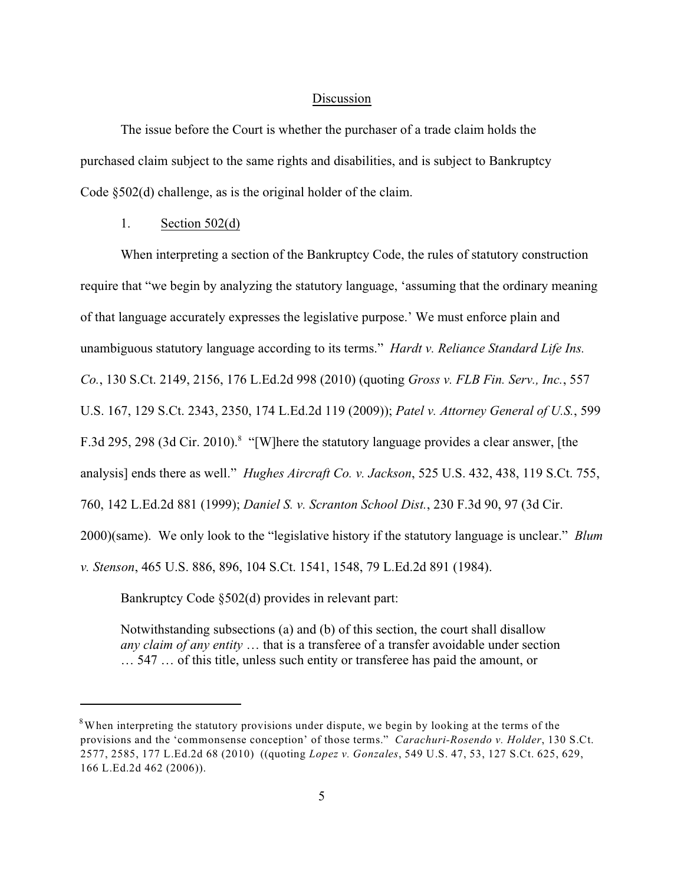#### Discussion

The issue before the Court is whether the purchaser of a trade claim holds the purchased claim subject to the same rights and disabilities, and is subject to Bankruptcy Code §502(d) challenge, as is the original holder of the claim.

## 1. Section 502(d)

When interpreting a section of the Bankruptcy Code, the rules of statutory construction require that "we begin by analyzing the statutory language, 'assuming that the ordinary meaning of that language accurately expresses the legislative purpose.' We must enforce plain and unambiguous statutory language according to its terms." *Hardt v. Reliance Standard Life Ins. Co.*, 130 S.Ct. 2149, 2156, 176 L.Ed.2d 998 (2010) (quoting *Gross v. FLB Fin. Serv., Inc.*, 557 U.S. 167, 129 S.Ct. 2343, 2350, 174 L.Ed.2d 119 (2009)); *Patel v. Attorney General of U.S.*, 599 F.3d 295, 298 (3d Cir. 2010).<sup>8</sup> "[W]here the statutory language provides a clear answer, [the analysis] ends there as well." *Hughes Aircraft Co. v. Jackson*, 525 U.S. 432, 438, 119 S.Ct. 755, 760, 142 L.Ed.2d 881 (1999); *Daniel S. v. Scranton School Dist.*, 230 F.3d 90, 97 (3d Cir. 2000)(same). We only look to the "legislative history if the statutory language is unclear." *Blum v. Stenson*, 465 U.S. 886, 896, 104 S.Ct. 1541, 1548, 79 L.Ed.2d 891 (1984).

Bankruptcy Code §502(d) provides in relevant part:

Notwithstanding subsections (a) and (b) of this section, the court shall disallow *any claim of any entity* … that is a transferee of a transfer avoidable under section … 547 … of this title, unless such entity or transferee has paid the amount, or

 $8$ When interpreting the statutory provisions under dispute, we begin by looking at the terms of the provisions and the 'commonsense conception' of those terms." *Carachuri-Rosendo v. Holder*, 130 S.Ct. 2577, 2585, 177 L.Ed.2d 68 (2010) ((quoting *Lopez v. Gonzales*, 549 U.S. 47, 53, 127 S.Ct. 625, 629, 166 L.Ed.2d 462 (2006)).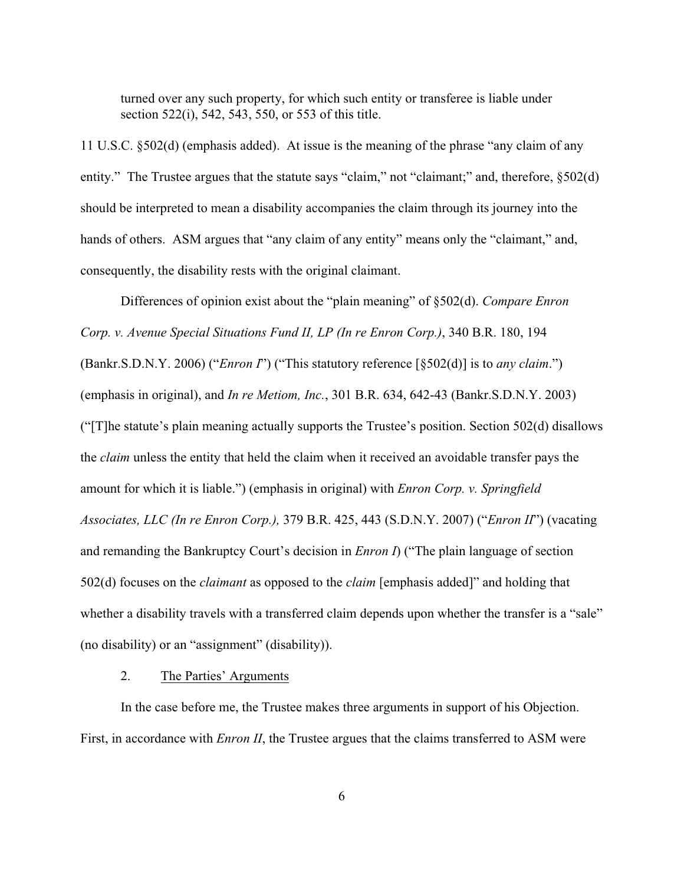turned over any such property, for which such entity or transferee is liable under section 522(i), 542, 543, 550, or 553 of this title.

11 U.S.C. §502(d) (emphasis added). At issue is the meaning of the phrase "any claim of any entity." The Trustee argues that the statute says "claim," not "claimant;" and, therefore, §502(d) should be interpreted to mean a disability accompanies the claim through its journey into the hands of others. ASM argues that "any claim of any entity" means only the "claimant," and, consequently, the disability rests with the original claimant.

Differences of opinion exist about the "plain meaning" of §502(d). *Compare Enron Corp. v. Avenue Special Situations Fund II, LP (In re Enron Corp.)*, 340 B.R. 180, 194 (Bankr.S.D.N.Y. 2006) ("*Enron I*") ("This statutory reference [§502(d)] is to *any claim*.") (emphasis in original), and *In re Metiom, Inc.*, 301 B.R. 634, 642-43 (Bankr.S.D.N.Y. 2003) ("[T]he statute's plain meaning actually supports the Trustee's position. Section 502(d) disallows the *claim* unless the entity that held the claim when it received an avoidable transfer pays the amount for which it is liable.") (emphasis in original) with *Enron Corp. v. Springfield Associates, LLC (In re Enron Corp.),* 379 B.R. 425, 443 (S.D.N.Y. 2007) ("*Enron II*") (vacating and remanding the Bankruptcy Court's decision in *Enron I*) ("The plain language of section 502(d) focuses on the *claimant* as opposed to the *claim* [emphasis added]" and holding that whether a disability travels with a transferred claim depends upon whether the transfer is a "sale" (no disability) or an "assignment" (disability)).

#### 2. The Parties' Arguments

In the case before me, the Trustee makes three arguments in support of his Objection. First, in accordance with *Enron II*, the Trustee argues that the claims transferred to ASM were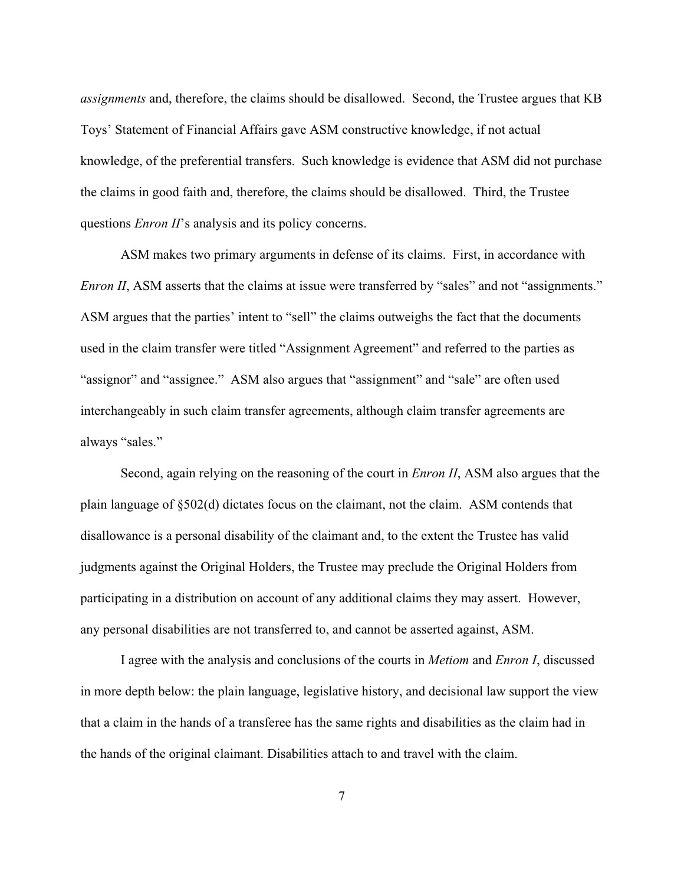*assignments* and, therefore, the claims should be disallowed. Second, the Trustee argues that KB Toys' Statement of Financial Affairs gave ASM constructive knowledge, if not actual knowledge, of the preferential transfers. Such knowledge is evidence that ASM did not purchase the claims in good faith and, therefore, the claims should be disallowed. Third, the Trustee questions *Enron II*'s analysis and its policy concerns.

ASM makes two primary arguments in defense of its claims. First, in accordance with *Enron II*, ASM asserts that the claims at issue were transferred by "sales" and not "assignments." ASM argues that the parties' intent to "sell" the claims outweighs the fact that the documents used in the claim transfer were titled "Assignment Agreement" and referred to the parties as "assignor" and "assignee." ASM also argues that "assignment" and "sale" are often used interchangeably in such claim transfer agreements, although claim transfer agreements are always "sales."

Second, again relying on the reasoning of the court in *Enron II*, ASM also argues that the plain language of §502(d) dictates focus on the claimant, not the claim. ASM contends that disallowance is a personal disability of the claimant and, to the extent the Trustee has valid judgments against the Original Holders, the Trustee may preclude the Original Holders from participating in a distribution on account of any additional claims they may assert. However, any personal disabilities are not transferred to, and cannot be asserted against, ASM.

I agree with the analysis and conclusions of the courts in *Metiom* and *Enron I*, discussed in more depth below: the plain language, legislative history, and decisional law support the view that a claim in the hands of a transferee has the same rights and disabilities as the claim had in the hands of the original claimant. Disabilities attach to and travel with the claim.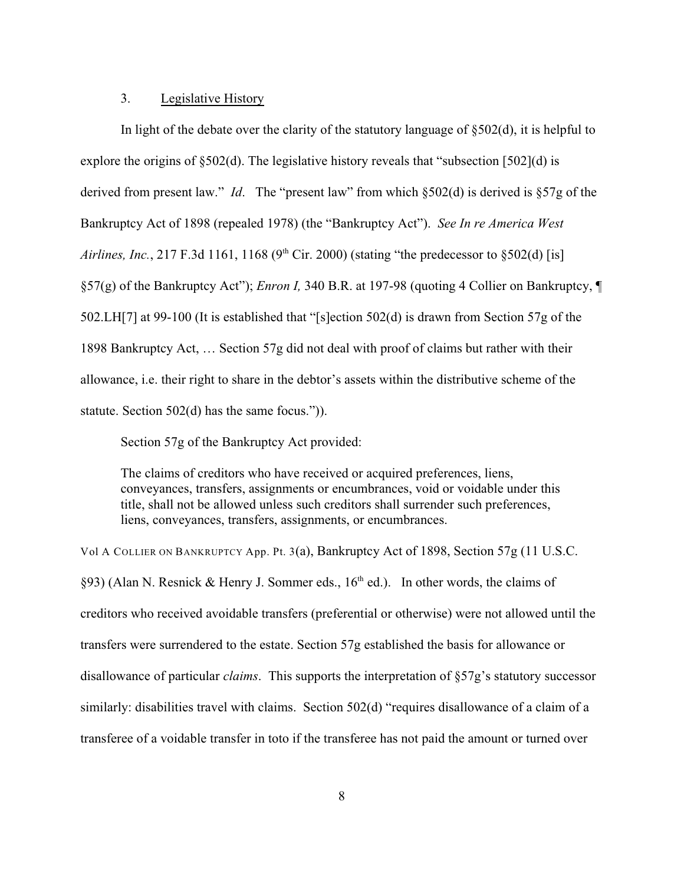## 3. Legislative History

In light of the debate over the clarity of the statutory language of §502(d), it is helpful to explore the origins of §502(d). The legislative history reveals that "subsection [502](d) is derived from present law." *Id*. The "present law" from which §502(d) is derived is §57g of the Bankruptcy Act of 1898 (repealed 1978) (the "Bankruptcy Act"). *See In re America West Airlines, Inc.*, 217 F.3d 1161, 1168 (9<sup>th</sup> Cir. 2000) (stating "the predecessor to  $\S 502(d)$  [is] §57(g) of the Bankruptcy Act"); *Enron I,* 340 B.R. at 197-98 (quoting 4 Collier on Bankruptcy, ¶ 502.LH[7] at 99-100 (It is established that "[s]ection 502(d) is drawn from Section 57g of the 1898 Bankruptcy Act, … Section 57g did not deal with proof of claims but rather with their allowance, i.e. their right to share in the debtor's assets within the distributive scheme of the statute. Section 502(d) has the same focus.")).

Section 57g of the Bankruptcy Act provided:

The claims of creditors who have received or acquired preferences, liens, conveyances, transfers, assignments or encumbrances, void or voidable under this title, shall not be allowed unless such creditors shall surrender such preferences, liens, conveyances, transfers, assignments, or encumbrances.

Vol A COLLIER ON BANKRUPTCY App. Pt. 3(a), Bankruptcy Act of 1898, Section 57g (11 U.S.C. §93) (Alan N. Resnick & Henry J. Sommer eds.,  $16<sup>th</sup>$  ed.). In other words, the claims of creditors who received avoidable transfers (preferential or otherwise) were not allowed until the transfers were surrendered to the estate. Section 57g established the basis for allowance or disallowance of particular *claims*. This supports the interpretation of §57g's statutory successor similarly: disabilities travel with claims. Section 502(d) "requires disallowance of a claim of a transferee of a voidable transfer in toto if the transferee has not paid the amount or turned over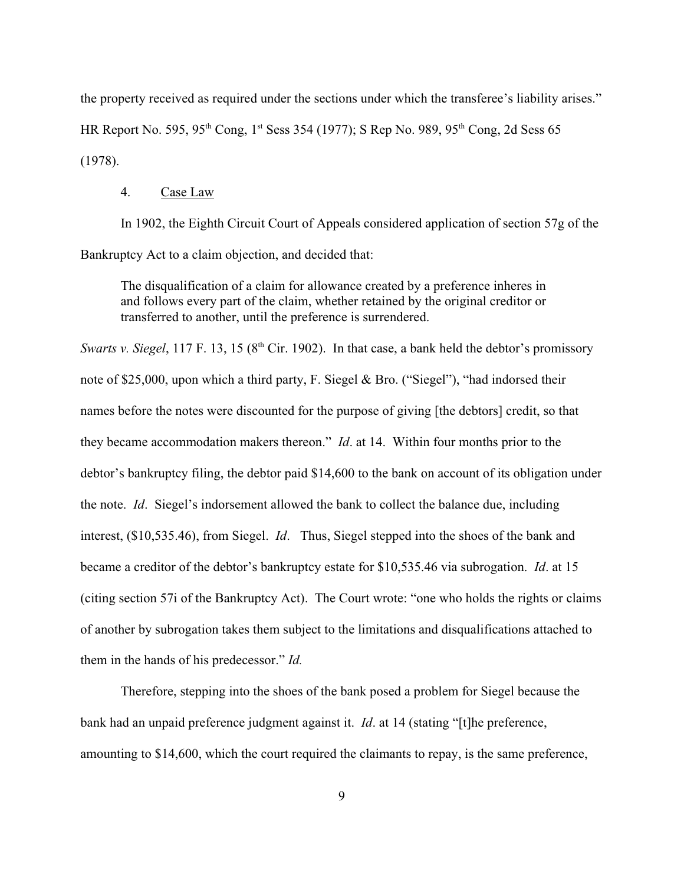the property received as required under the sections under which the transferee's liability arises." HR Report No. 595, 95<sup>th</sup> Cong, 1<sup>st</sup> Sess 354 (1977); S Rep No. 989, 95<sup>th</sup> Cong, 2d Sess 65 (1978).

#### 4. Case Law

In 1902, the Eighth Circuit Court of Appeals considered application of section 57g of the Bankruptcy Act to a claim objection, and decided that:

The disqualification of a claim for allowance created by a preference inheres in and follows every part of the claim, whether retained by the original creditor or transferred to another, until the preference is surrendered.

*Swarts v. Siegel*, 117 F. 13, 15 (8<sup>th</sup> Cir. 1902). In that case, a bank held the debtor's promissory note of \$25,000, upon which a third party, F. Siegel & Bro. ("Siegel"), "had indorsed their names before the notes were discounted for the purpose of giving [the debtors] credit, so that they became accommodation makers thereon." *Id*. at 14. Within four months prior to the debtor's bankruptcy filing, the debtor paid \$14,600 to the bank on account of its obligation under the note. *Id*. Siegel's indorsement allowed the bank to collect the balance due, including interest, (\$10,535.46), from Siegel. *Id*. Thus, Siegel stepped into the shoes of the bank and became a creditor of the debtor's bankruptcy estate for \$10,535.46 via subrogation. *Id*. at 15 (citing section 57i of the Bankruptcy Act). The Court wrote: "one who holds the rights or claims of another by subrogation takes them subject to the limitations and disqualifications attached to them in the hands of his predecessor." *Id.*

Therefore, stepping into the shoes of the bank posed a problem for Siegel because the bank had an unpaid preference judgment against it. *Id*. at 14 (stating "[t]he preference, amounting to \$14,600, which the court required the claimants to repay, is the same preference,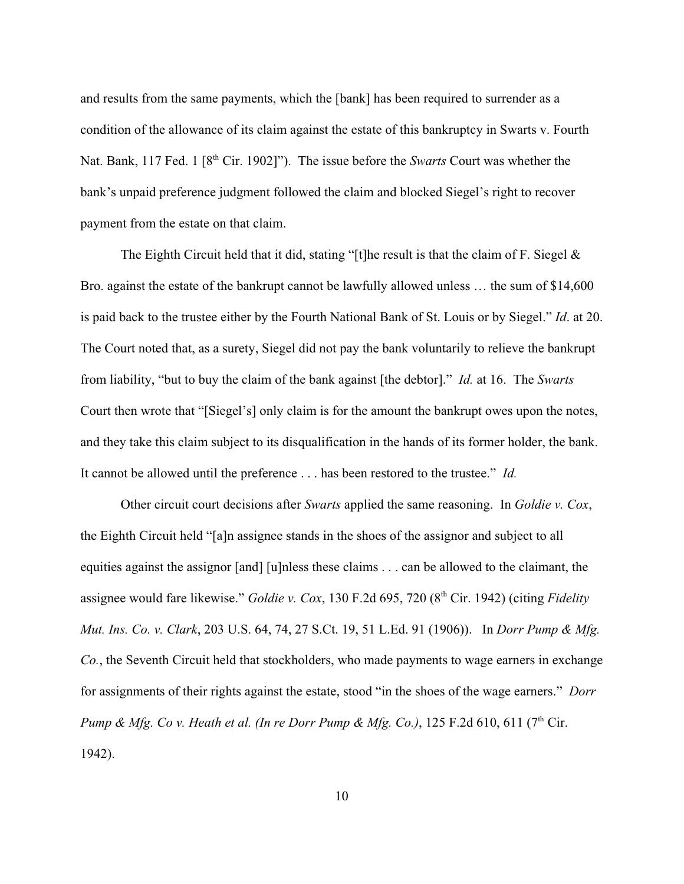and results from the same payments, which the [bank] has been required to surrender as a condition of the allowance of its claim against the estate of this bankruptcy in Swarts v. Fourth Nat. Bank, 117 Fed. 1 [8<sup>th</sup> Cir. 1902]"). The issue before the *Swarts* Court was whether the bank's unpaid preference judgment followed the claim and blocked Siegel's right to recover payment from the estate on that claim.

The Eighth Circuit held that it did, stating "[t]he result is that the claim of F. Siegel  $\&$ Bro. against the estate of the bankrupt cannot be lawfully allowed unless … the sum of \$14,600 is paid back to the trustee either by the Fourth National Bank of St. Louis or by Siegel." *Id*. at 20. The Court noted that, as a surety, Siegel did not pay the bank voluntarily to relieve the bankrupt from liability, "but to buy the claim of the bank against [the debtor]." *Id.* at 16. The *Swarts* Court then wrote that "[Siegel's] only claim is for the amount the bankrupt owes upon the notes, and they take this claim subject to its disqualification in the hands of its former holder, the bank. It cannot be allowed until the preference . . . has been restored to the trustee." *Id.*

Other circuit court decisions after *Swarts* applied the same reasoning. In *Goldie v. Cox*, the Eighth Circuit held "[a]n assignee stands in the shoes of the assignor and subject to all equities against the assignor [and] [u]nless these claims . . . can be allowed to the claimant, the assignee would fare likewise." *Goldie v. Cox*, 130 F.2d 695, 720 (8<sup>th</sup> Cir. 1942) (citing *Fidelity Mut. Ins. Co. v. Clark*, 203 U.S. 64, 74, 27 S.Ct. 19, 51 L.Ed. 91 (1906)). In *Dorr Pump & Mfg. Co.*, the Seventh Circuit held that stockholders, who made payments to wage earners in exchange for assignments of their rights against the estate, stood "in the shoes of the wage earners." *Dorr Pump & Mfg. Co v. Heath et al. (In re Dorr Pump & Mfg. Co.)*, 125 F.2d 610, 611 (7<sup>th</sup> Cir. 1942).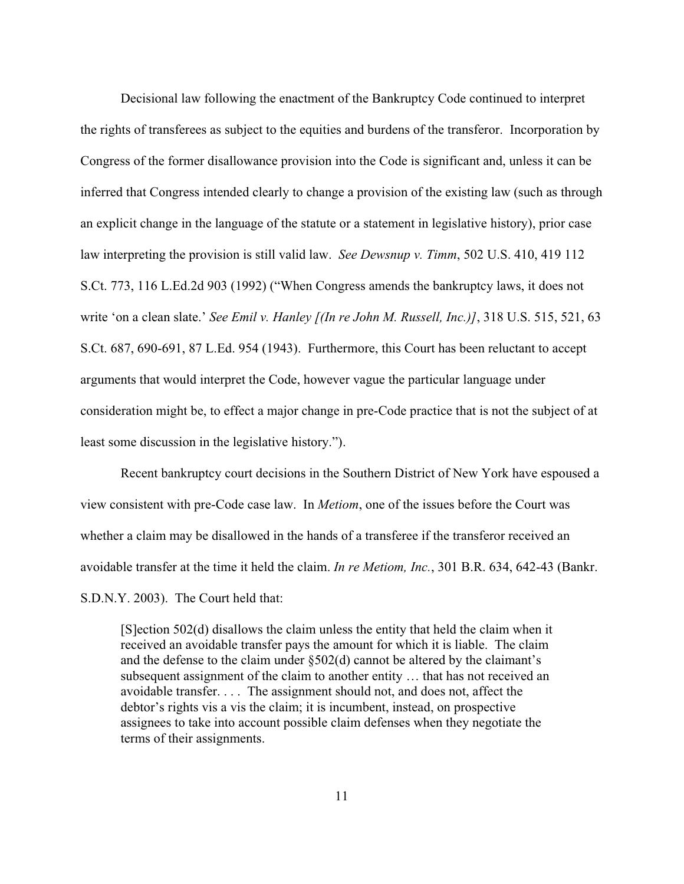Decisional law following the enactment of the Bankruptcy Code continued to interpret the rights of transferees as subject to the equities and burdens of the transferor. Incorporation by Congress of the former disallowance provision into the Code is significant and, unless it can be inferred that Congress intended clearly to change a provision of the existing law (such as through an explicit change in the language of the statute or a statement in legislative history), prior case law interpreting the provision is still valid law. *See Dewsnup v. Timm*, 502 U.S. 410, 419 112 S.Ct. 773, 116 L.Ed.2d 903 (1992) ("When Congress amends the bankruptcy laws, it does not write 'on a clean slate.' *See Emil v. Hanley [(In re John M. Russell, Inc.)]*, 318 U.S. 515, 521, 63 S.Ct. 687, 690-691, 87 L.Ed. 954 (1943). Furthermore, this Court has been reluctant to accept arguments that would interpret the Code, however vague the particular language under consideration might be, to effect a major change in pre-Code practice that is not the subject of at least some discussion in the legislative history.").

Recent bankruptcy court decisions in the Southern District of New York have espoused a view consistent with pre-Code case law. In *Metiom*, one of the issues before the Court was whether a claim may be disallowed in the hands of a transferee if the transferor received an avoidable transfer at the time it held the claim. *In re Metiom, Inc.*, 301 B.R. 634, 642-43 (Bankr. S.D.N.Y. 2003). The Court held that:

[S]ection 502(d) disallows the claim unless the entity that held the claim when it received an avoidable transfer pays the amount for which it is liable. The claim and the defense to the claim under §502(d) cannot be altered by the claimant's subsequent assignment of the claim to another entity … that has not received an avoidable transfer. . . . The assignment should not, and does not, affect the debtor's rights vis a vis the claim; it is incumbent, instead, on prospective assignees to take into account possible claim defenses when they negotiate the terms of their assignments.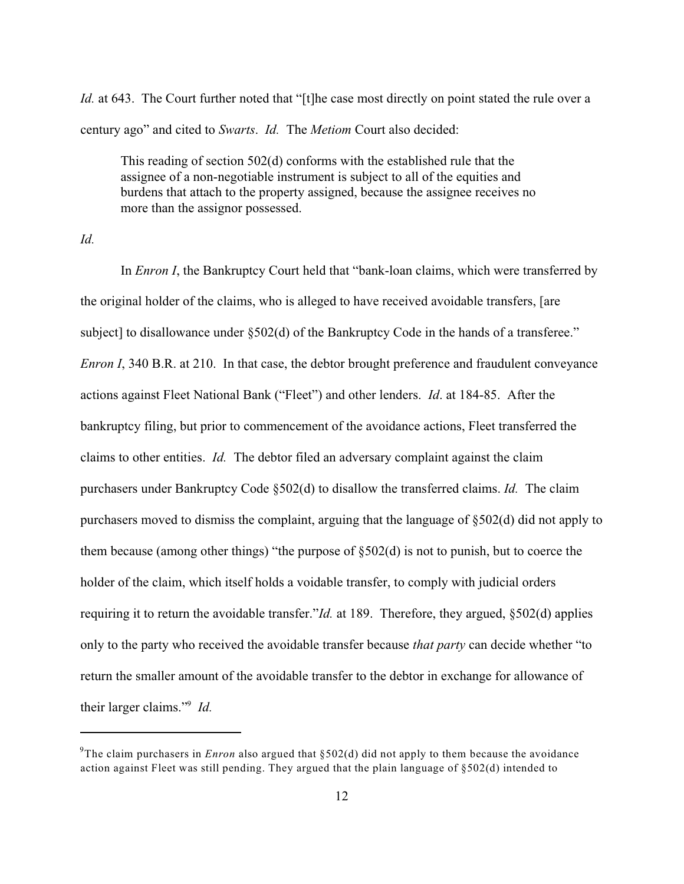*Id.* at 643. The Court further noted that "[t]he case most directly on point stated the rule over a century ago" and cited to *Swarts*. *Id.* The *Metiom* Court also decided:

This reading of section 502(d) conforms with the established rule that the assignee of a non-negotiable instrument is subject to all of the equities and burdens that attach to the property assigned, because the assignee receives no more than the assignor possessed.

*Id.*

In *Enron I*, the Bankruptcy Court held that "bank-loan claims, which were transferred by the original holder of the claims, who is alleged to have received avoidable transfers, [are subject] to disallowance under §502(d) of the Bankruptcy Code in the hands of a transferee." *Enron I*, 340 B.R. at 210. In that case, the debtor brought preference and fraudulent conveyance actions against Fleet National Bank ("Fleet") and other lenders. *Id*. at 184-85. After the bankruptcy filing, but prior to commencement of the avoidance actions, Fleet transferred the claims to other entities. *Id.* The debtor filed an adversary complaint against the claim purchasers under Bankruptcy Code §502(d) to disallow the transferred claims. *Id.* The claim purchasers moved to dismiss the complaint, arguing that the language of §502(d) did not apply to them because (among other things) "the purpose of §502(d) is not to punish, but to coerce the holder of the claim, which itself holds a voidable transfer, to comply with judicial orders requiring it to return the avoidable transfer."*Id.* at 189. Therefore, they argued, §502(d) applies only to the party who received the avoidable transfer because *that party* can decide whether "to return the smaller amount of the avoidable transfer to the debtor in exchange for allowance of their larger claims."<sup>9</sup> Id.

<sup>&</sup>lt;sup>9</sup>The claim purchasers in *Enron* also argued that  $\S502(d)$  did not apply to them because the avoidance action against Fleet was still pending. They argued that the plain language of §502(d) intended to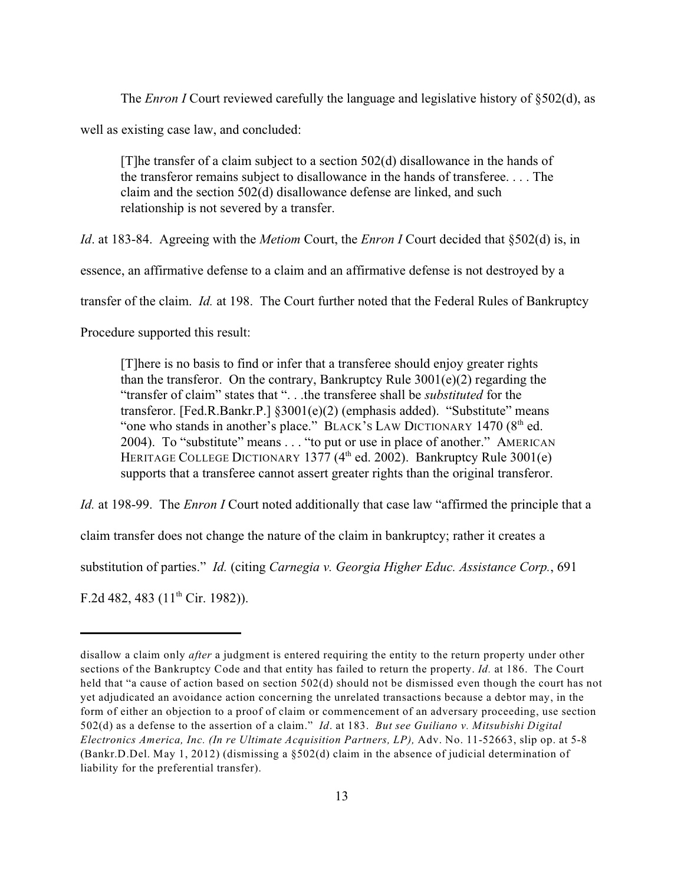The *Enron I* Court reviewed carefully the language and legislative history of §502(d), as well as existing case law, and concluded:

[T]he transfer of a claim subject to a section 502(d) disallowance in the hands of the transferor remains subject to disallowance in the hands of transferee. . . . The claim and the section 502(d) disallowance defense are linked, and such relationship is not severed by a transfer.

*Id*. at 183-84. Agreeing with the *Metiom* Court, the *Enron I* Court decided that §502(d) is, in

essence, an affirmative defense to a claim and an affirmative defense is not destroyed by a

transfer of the claim. *Id.* at 198. The Court further noted that the Federal Rules of Bankruptcy

Procedure supported this result:

[T]here is no basis to find or infer that a transferee should enjoy greater rights than the transferor. On the contrary, Bankruptcy Rule  $3001(e)(2)$  regarding the "transfer of claim" states that ". . .the transferee shall be *substituted* for the transferor. [Fed.R.Bankr.P.] §3001(e)(2) (emphasis added). "Substitute" means "one who stands in another's place." BLACK's LAW DICTIONARY 1470  $(8<sup>th</sup>$  ed. 2004). To "substitute" means . . . "to put or use in place of another." AMERICAN HERITAGE COLLEGE DICTIONARY 1377 ( $4<sup>th</sup>$  ed. 2002). Bankruptcy Rule 3001(e) supports that a transferee cannot assert greater rights than the original transferor.

*Id.* at 198-99. The *Enron I* Court noted additionally that case law "affirmed the principle that a

claim transfer does not change the nature of the claim in bankruptcy; rather it creates a

substitution of parties." *Id.* (citing *Carnegia v. Georgia Higher Educ. Assistance Corp.*, 691

F.2d 482, 483 ( $11<sup>th</sup>$  Cir. 1982)).

disallow a claim only *after* a judgment is entered requiring the entity to the return property under other sections of the Bankruptcy Code and that entity has failed to return the property. *Id.* at 186. The Court held that "a cause of action based on section 502(d) should not be dismissed even though the court has not yet adjudicated an avoidance action concerning the unrelated transactions because a debtor may, in the form of either an objection to a proof of claim or commencement of an adversary proceeding, use section 502(d) as a defense to the assertion of a claim." *Id*. at 183. *But see Guiliano v. Mitsubishi Digital Electronics America, Inc. (In re Ultimate Acquisition Partners, LP),* Adv. No. 11-52663, slip op. at 5-8 (Bankr.D.Del. May 1, 2012) (dismissing a §502(d) claim in the absence of judicial determination of liability for the preferential transfer).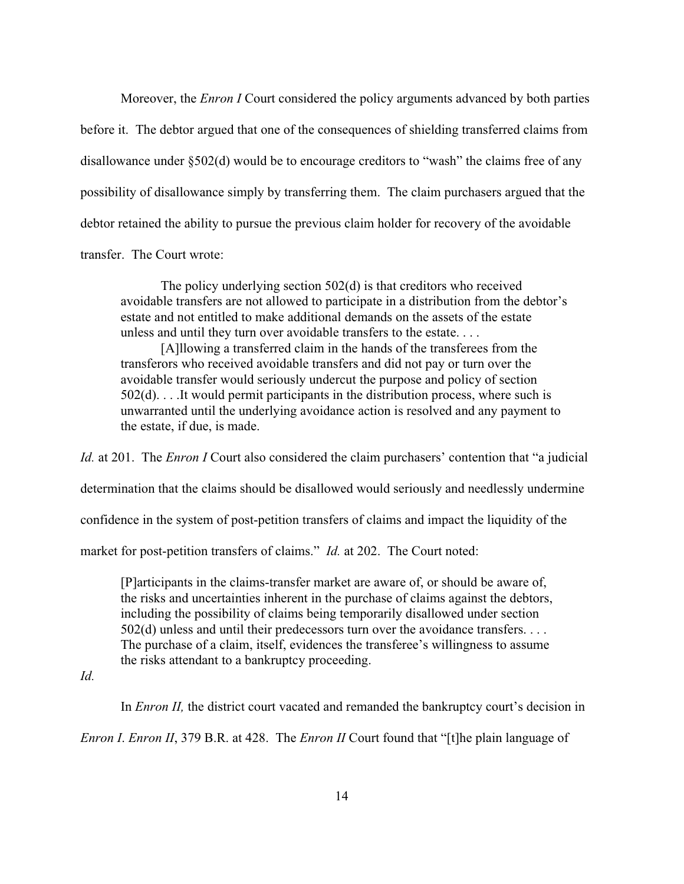Moreover, the *Enron I* Court considered the policy arguments advanced by both parties before it. The debtor argued that one of the consequences of shielding transferred claims from disallowance under §502(d) would be to encourage creditors to "wash" the claims free of any possibility of disallowance simply by transferring them. The claim purchasers argued that the debtor retained the ability to pursue the previous claim holder for recovery of the avoidable transfer. The Court wrote:

The policy underlying section 502(d) is that creditors who received avoidable transfers are not allowed to participate in a distribution from the debtor's estate and not entitled to make additional demands on the assets of the estate unless and until they turn over avoidable transfers to the estate. . . .

[A]llowing a transferred claim in the hands of the transferees from the transferors who received avoidable transfers and did not pay or turn over the avoidable transfer would seriously undercut the purpose and policy of section  $502(d)$ ... It would permit participants in the distribution process, where such is unwarranted until the underlying avoidance action is resolved and any payment to the estate, if due, is made.

*Id.* at 201. The *Enron I* Court also considered the claim purchasers' contention that "a judicial determination that the claims should be disallowed would seriously and needlessly undermine confidence in the system of post-petition transfers of claims and impact the liquidity of the market for post-petition transfers of claims." *Id.* at 202. The Court noted:

[P]articipants in the claims-transfer market are aware of, or should be aware of, the risks and uncertainties inherent in the purchase of claims against the debtors, including the possibility of claims being temporarily disallowed under section 502(d) unless and until their predecessors turn over the avoidance transfers. . . . The purchase of a claim, itself, evidences the transferee's willingness to assume the risks attendant to a bankruptcy proceeding.

# *Id.*

In *Enron II*, the district court vacated and remanded the bankruptcy court's decision in

*Enron I*. *Enron II*, 379 B.R. at 428. The *Enron II* Court found that "[t]he plain language of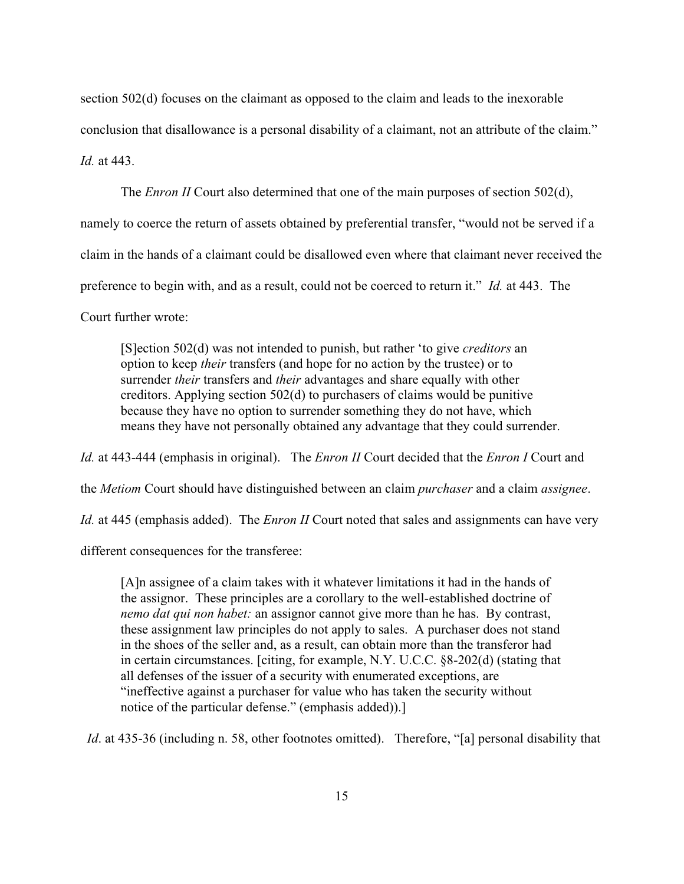section 502(d) focuses on the claimant as opposed to the claim and leads to the inexorable conclusion that disallowance is a personal disability of a claimant, not an attribute of the claim." *Id.* at 443.

The *Enron II* Court also determined that one of the main purposes of section 502(d),

namely to coerce the return of assets obtained by preferential transfer, "would not be served if a

claim in the hands of a claimant could be disallowed even where that claimant never received the

preference to begin with, and as a result, could not be coerced to return it." *Id.* at 443. The

Court further wrote:

[S]ection 502(d) was not intended to punish, but rather 'to give *creditors* an option to keep *their* transfers (and hope for no action by the trustee) or to surrender *their* transfers and *their* advantages and share equally with other creditors. Applying section 502(d) to purchasers of claims would be punitive because they have no option to surrender something they do not have, which means they have not personally obtained any advantage that they could surrender.

*Id.* at 443-444 (emphasis in original). The *Enron II* Court decided that the *Enron I* Court and

the *Metiom* Court should have distinguished between an claim *purchaser* and a claim *assignee*.

*Id.* at 445 (emphasis added). The *Enron II* Court noted that sales and assignments can have very

different consequences for the transferee:

[A]n assignee of a claim takes with it whatever limitations it had in the hands of the assignor. These principles are a corollary to the well-established doctrine of *nemo dat qui non habet:* an assignor cannot give more than he has. By contrast, these assignment law principles do not apply to sales. A purchaser does not stand in the shoes of the seller and, as a result, can obtain more than the transferor had in certain circumstances. [citing, for example, N.Y. U.C.C. §8-202(d) (stating that all defenses of the issuer of a security with enumerated exceptions, are "ineffective against a purchaser for value who has taken the security without notice of the particular defense." (emphasis added)).]

*Id.* at 435-36 (including n. 58, other footnotes omitted). Therefore, "[a] personal disability that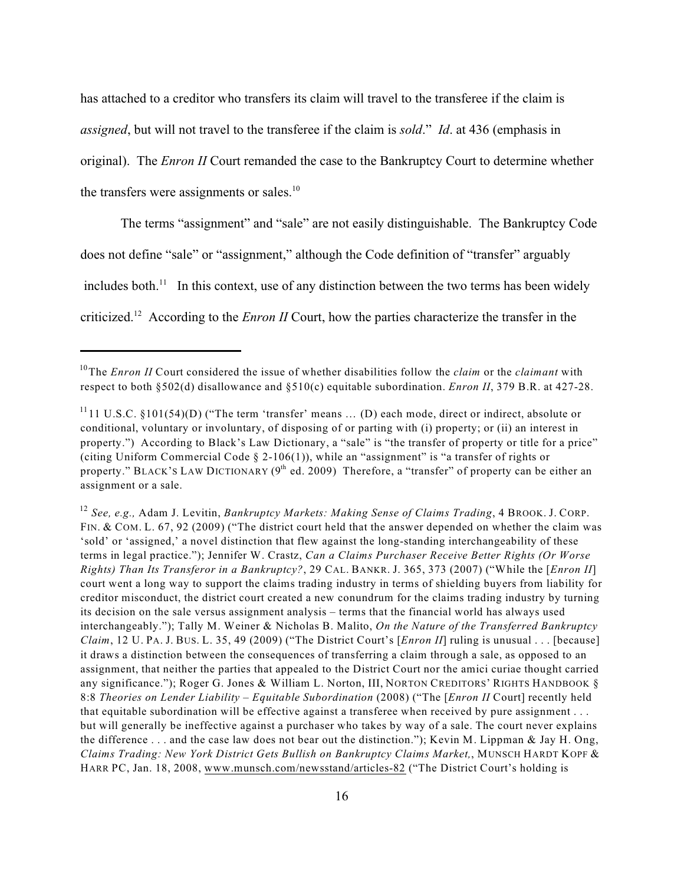has attached to a creditor who transfers its claim will travel to the transferee if the claim is *assigned*, but will not travel to the transferee if the claim is *sold*." *Id*. at 436 (emphasis in original). The *Enron II* Court remanded the case to the Bankruptcy Court to determine whether

the transfers were assignments or sales.<sup>10</sup>

The terms "assignment" and "sale" are not easily distinguishable. The Bankruptcy Code

does not define "sale" or "assignment," although the Code definition of "transfer" arguably

includes both.<sup> $11$ </sup> In this context, use of any distinction between the two terms has been widely

criticized.<sup>12</sup> According to the *Enron II* Court, how the parties characterize the transfer in the

*See, e.g.,* Adam J. Levitin, *Bankruptcy Markets: Making Sense of Claims Trading*, 4 BROOK. J. CORP. 12 FIN. & COM. L. 67, 92 (2009) ("The district court held that the answer depended on whether the claim was 'sold' or 'assigned,' a novel distinction that flew against the long-standing interchangeability of these terms in legal practice."); Jennifer W. Crastz, *Can a Claims Purchaser Receive Better Rights (Or Worse Rights) Than Its Transferor in a Bankruptcy?*, 29 CAL. BANKR. J. 365, 373 (2007) ("While the [*Enron II*] court went a long way to support the claims trading industry in terms of shielding buyers from liability for creditor misconduct, the district court created a new conundrum for the claims trading industry by turning its decision on the sale versus assignment analysis – terms that the financial world has always used interchangeably."); Tally M. Weiner & Nicholas B. Malito, *On the Nature of the Transferred Bankruptcy Claim*, 12 U. PA. J. BUS. L. 35, 49 (2009) ("The District Court's [*Enron II*] ruling is unusual . . . [because] it draws a distinction between the consequences of transferring a claim through a sale, as opposed to an assignment, that neither the parties that appealed to the District Court nor the amici curiae thought carried any significance."); Roger G. Jones & William L. Norton, III, NORTON CREDITORS' RIGHTS HANDBOOK § 8:8 *Theories on Lender Liability – Equitable Subordination* (2008) ("The [*Enron II* Court] recently held that equitable subordination will be effective against a transferee when received by pure assignment . . . but will generally be ineffective against a purchaser who takes by way of a sale. The court never explains the difference . . . and the case law does not bear out the distinction."); Kevin M. Lippman & Jay H. Ong, *Claims Trading: New York District Gets Bullish on Bankruptcy Claims Market,*, MUNSCH HARDT KOPF & HARR PC, Jan. 18, 2008, [www.munsch.com/newsstand/articles-82](http://www.munsch.com/newsstand/articles-82) ("The District Court's holding is

<sup>&</sup>lt;sup>10</sup>The *Enron II* Court considered the issue of whether disabilities follow the *claim* or the *claimant* with respect to both §502(d) disallowance and §510(c) equitable subordination. *Enron II*, 379 B.R. at 427-28.

 $^{11}$ 11 U.S.C. §101(54)(D) ("The term 'transfer' means ... (D) each mode, direct or indirect, absolute or conditional, voluntary or involuntary, of disposing of or parting with (i) property; or (ii) an interest in property.") According to Black's Law Dictionary, a "sale" is "the transfer of property or title for a price" (citing Uniform Commercial Code § 2-106(1)), while an "assignment" is "a transfer of rights or property." BLACK'S LAW DICTIONARY ( $9<sup>th</sup>$  ed. 2009) Therefore, a "transfer" of property can be either an assignment or a sale.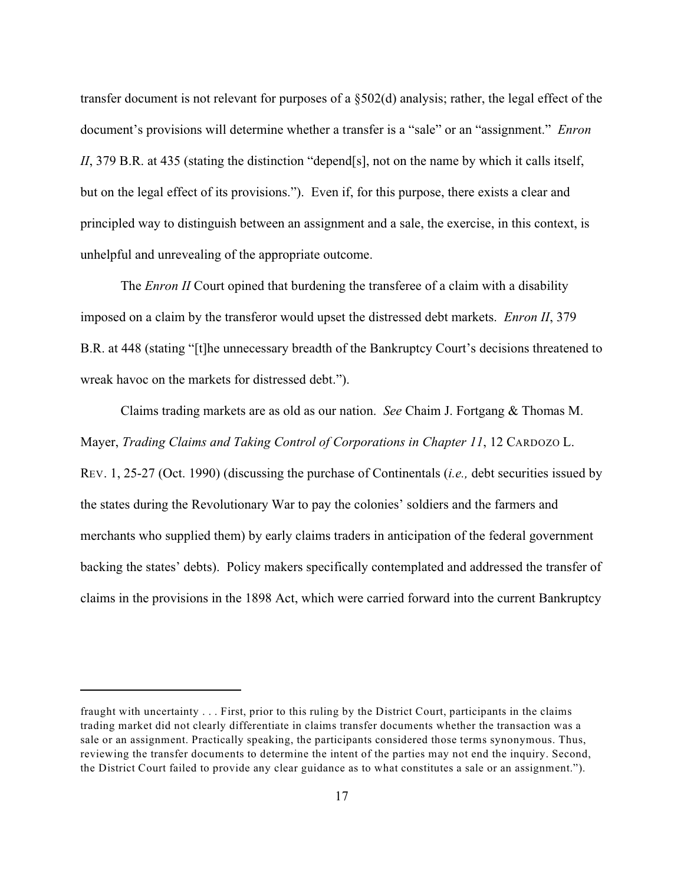transfer document is not relevant for purposes of a §502(d) analysis; rather, the legal effect of the document's provisions will determine whether a transfer is a "sale" or an "assignment." *Enron II*, 379 B.R. at 435 (stating the distinction "depend[s], not on the name by which it calls itself, but on the legal effect of its provisions."). Even if, for this purpose, there exists a clear and principled way to distinguish between an assignment and a sale, the exercise, in this context, is unhelpful and unrevealing of the appropriate outcome.

The *Enron II* Court opined that burdening the transferee of a claim with a disability imposed on a claim by the transferor would upset the distressed debt markets. *Enron II*, 379 B.R. at 448 (stating "[t]he unnecessary breadth of the Bankruptcy Court's decisions threatened to wreak havoc on the markets for distressed debt.").

Claims trading markets are as old as our nation. *See* Chaim J. Fortgang & Thomas M. Mayer, *Trading Claims and Taking Control of Corporations in Chapter 11*, 12 CARDOZO L. REV. 1, 25-27 (Oct. 1990) (discussing the purchase of Continentals (*i.e.,* debt securities issued by the states during the Revolutionary War to pay the colonies' soldiers and the farmers and merchants who supplied them) by early claims traders in anticipation of the federal government backing the states' debts). Policy makers specifically contemplated and addressed the transfer of claims in the provisions in the 1898 Act, which were carried forward into the current Bankruptcy

fraught with uncertainty . . . First, prior to this ruling by the District Court, participants in the claims trading market did not clearly differentiate in claims transfer documents whether the transaction was a sale or an assignment. Practically speaking, the participants considered those terms synonymous. Thus, reviewing the transfer documents to determine the intent of the parties may not end the inquiry. Second, the District Court failed to provide any clear guidance as to what constitutes a sale or an assignment.").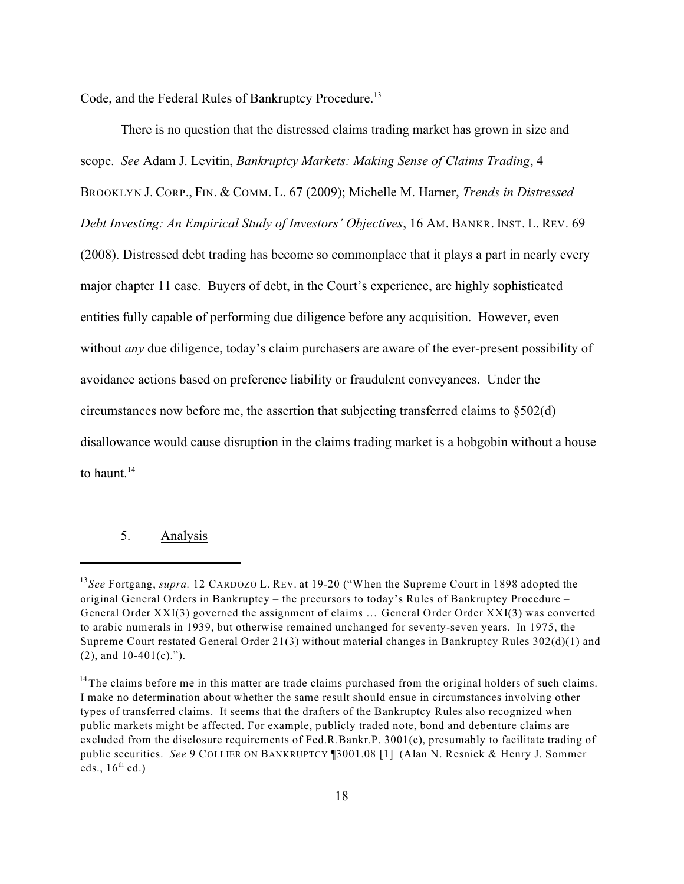Code, and the Federal Rules of Bankruptcy Procedure.<sup>13</sup>

There is no question that the distressed claims trading market has grown in size and scope. *See* Adam J. Levitin, *Bankruptcy Markets: Making Sense of Claims Trading*, 4 BROOKLYN J. CORP., FIN. & COMM. L. 67 (2009); Michelle M. Harner, *Trends in Distressed Debt Investing: An Empirical Study of Investors' Objectives*, 16 AM. BANKR. INST. L. REV. 69 (2008). Distressed debt trading has become so commonplace that it plays a part in nearly every major chapter 11 case. Buyers of debt, in the Court's experience, are highly sophisticated entities fully capable of performing due diligence before any acquisition. However, even without *any* due diligence, today's claim purchasers are aware of the ever-present possibility of avoidance actions based on preference liability or fraudulent conveyances. Under the circumstances now before me, the assertion that subjecting transferred claims to §502(d) disallowance would cause disruption in the claims trading market is a hobgobin without a house to haunt $14$ 

# 5. Analysis

<sup>&</sup>lt;sup>13</sup>See Fortgang, *supra*. 12 CARDOZO L. REV. at 19-20 ("When the Supreme Court in 1898 adopted the original General Orders in Bankruptcy – the precursors to today's Rules of Bankruptcy Procedure – General Order XXI(3) governed the assignment of claims … General Order Order XXI(3) was converted to arabic numerals in 1939, but otherwise remained unchanged for seventy-seven years. In 1975, the Supreme Court restated General Order 21(3) without material changes in Bankruptcy Rules 302(d)(1) and (2), and 10-401(c).").

 $14$ The claims before me in this matter are trade claims purchased from the original holders of such claims. I make no determination about whether the same result should ensue in circumstances involving other types of transferred claims. It seems that the drafters of the Bankruptcy Rules also recognized when public markets might be affected. For example, publicly traded note, bond and debenture claims are excluded from the disclosure requirements of Fed.R.Bankr.P. 3001(e), presumably to facilitate trading of public securities. *See* 9 COLLIER ON BANKRUPTCY ¶3001.08 [1] (Alan N. Resnick & Henry J. Sommer eds.,  $16^{\text{th}}$  ed.)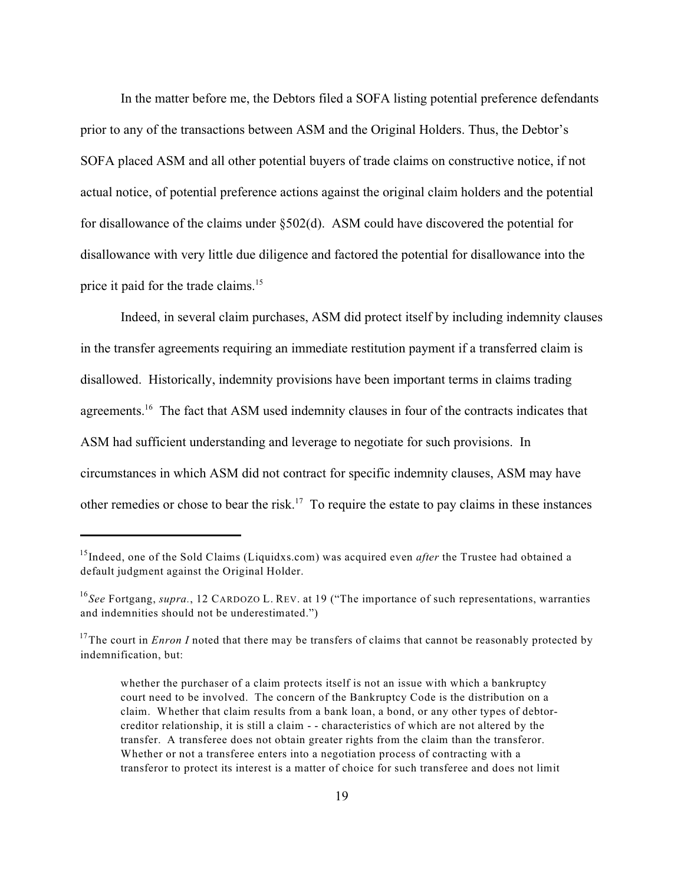In the matter before me, the Debtors filed a SOFA listing potential preference defendants prior to any of the transactions between ASM and the Original Holders. Thus, the Debtor's SOFA placed ASM and all other potential buyers of trade claims on constructive notice, if not actual notice, of potential preference actions against the original claim holders and the potential for disallowance of the claims under §502(d). ASM could have discovered the potential for disallowance with very little due diligence and factored the potential for disallowance into the price it paid for the trade claims.<sup>15</sup>

Indeed, in several claim purchases, ASM did protect itself by including indemnity clauses in the transfer agreements requiring an immediate restitution payment if a transferred claim is disallowed. Historically, indemnity provisions have been important terms in claims trading agreements.<sup>16</sup> The fact that ASM used indemnity clauses in four of the contracts indicates that ASM had sufficient understanding and leverage to negotiate for such provisions. In circumstances in which ASM did not contract for specific indemnity clauses, ASM may have other remedies or chose to bear the risk.<sup>17</sup> To require the estate to pay claims in these instances

<sup>&</sup>lt;sup>15</sup> Indeed, one of the Sold Claims (Liquidxs.com) was acquired even *after* the Trustee had obtained a default judgment against the Original Holder.

<sup>&</sup>lt;sup>16</sup>See Fortgang, *supra.*, 12 CARDOZO L. REV. at 19 ("The importance of such representations, warranties and indemnities should not be underestimated.")

<sup>&</sup>lt;sup>17</sup>The court in *Enron I* noted that there may be transfers of claims that cannot be reasonably protected by indemnification, but:

whether the purchaser of a claim protects itself is not an issue with which a bankruptcy court need to be involved. The concern of the Bankruptcy Code is the distribution on a claim. Whether that claim results from a bank loan, a bond, or any other types of debtorcreditor relationship, it is still a claim - - characteristics of which are not altered by the transfer. A transferee does not obtain greater rights from the claim than the transferor. Whether or not a transferee enters into a negotiation process of contracting with a transferor to protect its interest is a matter of choice for such transferee and does not limit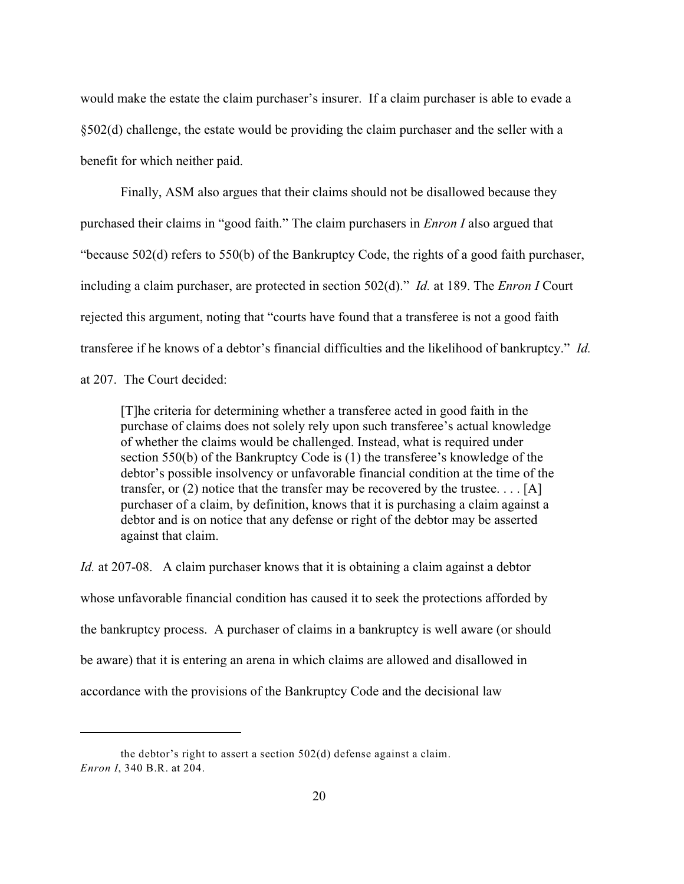would make the estate the claim purchaser's insurer. If a claim purchaser is able to evade a §502(d) challenge, the estate would be providing the claim purchaser and the seller with a benefit for which neither paid.

Finally, ASM also argues that their claims should not be disallowed because they purchased their claims in "good faith." The claim purchasers in *Enron I* also argued that "because 502(d) refers to 550(b) of the Bankruptcy Code, the rights of a good faith purchaser, including a claim purchaser, are protected in section 502(d)." *Id.* at 189. The *Enron I* Court rejected this argument, noting that "courts have found that a transferee is not a good faith transferee if he knows of a debtor's financial difficulties and the likelihood of bankruptcy." *Id.* at 207. The Court decided:

[T]he criteria for determining whether a transferee acted in good faith in the purchase of claims does not solely rely upon such transferee's actual knowledge of whether the claims would be challenged. Instead, what is required under section 550(b) of the Bankruptcy Code is (1) the transferee's knowledge of the debtor's possible insolvency or unfavorable financial condition at the time of the transfer, or  $(2)$  notice that the transfer may be recovered by the trustee... [A] purchaser of a claim, by definition, knows that it is purchasing a claim against a debtor and is on notice that any defense or right of the debtor may be asserted against that claim.

*Id.* at 207-08. A claim purchaser knows that it is obtaining a claim against a debtor whose unfavorable financial condition has caused it to seek the protections afforded by the bankruptcy process. A purchaser of claims in a bankruptcy is well aware (or should be aware) that it is entering an arena in which claims are allowed and disallowed in accordance with the provisions of the Bankruptcy Code and the decisional law

the debtor's right to assert a section 502(d) defense against a claim. *Enron I*, 340 B.R. at 204.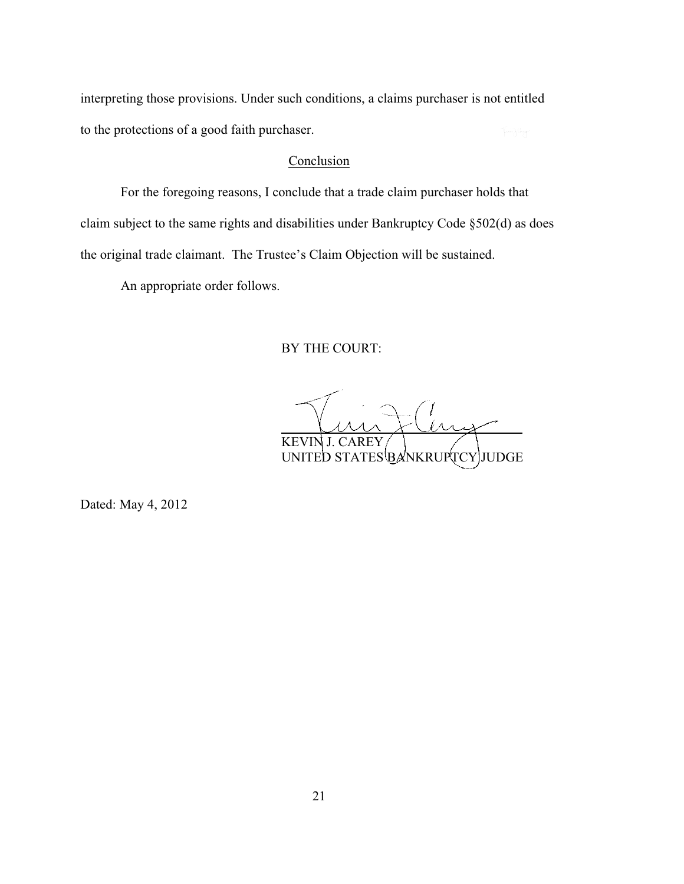interpreting those provisions. Under such conditions, a claims purchaser is not entitled to the protections of a good faith purchaser.

### Conclusion

For the foregoing reasons, I conclude that a trade claim purchaser holds that claim subject to the same rights and disabilities under Bankruptcy Code §502(d) as does the original trade claimant. The Trustee's Claim Objection will be sustained.

An appropriate order follows.

BY THE COURT:

l  $\mathcal{M}$ KEVIN J. CAREY UNITED STATES BANKRUPTCY JUDGE

Dated: May 4, 2012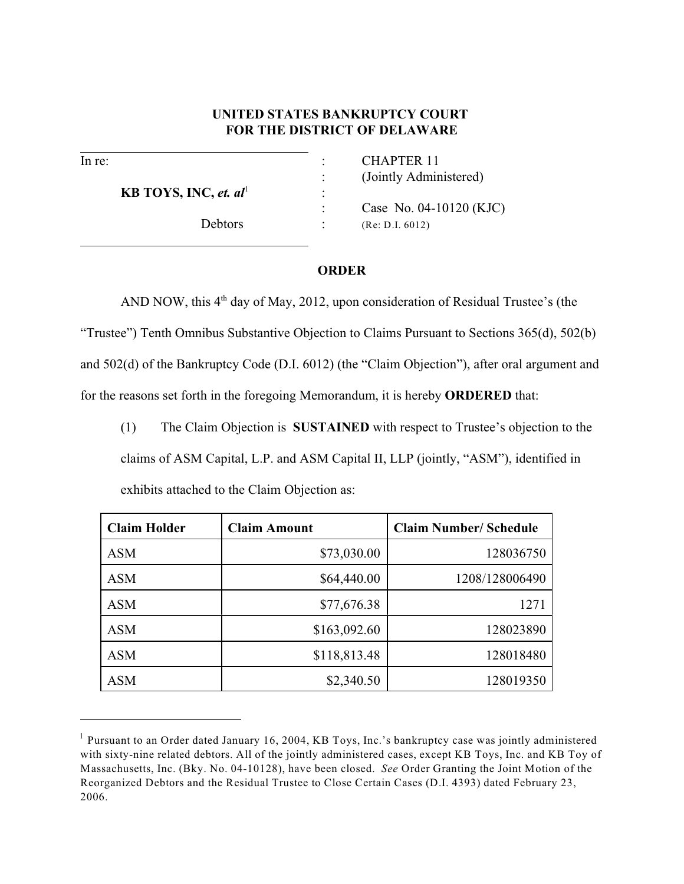## **UNITED STATES BANKRUPTCY COURT FOR THE DISTRICT OF DELAWARE**

l

 $\overline{a}$ 

**KB TOYS, INC,** *et.* $al^1$  **:** 

In re:  $CHAPTER 11$ : (Jointly Administered)

> : Case No. 04-10120 (KJC) Debtors : (Re: D.I. 6012)

#### **ORDER**

AND NOW, this  $4<sup>th</sup>$  day of May, 2012, upon consideration of Residual Trustee's (the "Trustee") Tenth Omnibus Substantive Objection to Claims Pursuant to Sections 365(d), 502(b) and 502(d) of the Bankruptcy Code (D.I. 6012) (the "Claim Objection"), after oral argument and for the reasons set forth in the foregoing Memorandum, it is hereby **ORDERED** that:

(1) The Claim Objection is **SUSTAINED** with respect to Trustee's objection to the

claims of ASM Capital, L.P. and ASM Capital II, LLP (jointly, "ASM"), identified in exhibits attached to the Claim Objection as:

| <b>Claim Holder</b> | <b>Claim Amount</b> | <b>Claim Number/ Schedule</b> |
|---------------------|---------------------|-------------------------------|
| <b>ASM</b>          | \$73,030.00         | 128036750                     |
| <b>ASM</b>          | \$64,440.00         | 1208/128006490                |
| <b>ASM</b>          | \$77,676.38         | 1271                          |
| <b>ASM</b>          | \$163,092.60        | 128023890                     |
| <b>ASM</b>          | \$118,813.48        | 128018480                     |
| <b>ASM</b>          | \$2,340.50          | 128019350                     |

 $<sup>1</sup>$  Pursuant to an Order dated January 16, 2004, KB Toys, Inc.'s bankruptcy case was jointly administered</sup> with sixty-nine related debtors. All of the jointly administered cases, except KB Toys, Inc. and KB Toy of Massachusetts, Inc. (Bky. No. 04-10128), have been closed. *See* Order Granting the Joint Motion of the Reorganized Debtors and the Residual Trustee to Close Certain Cases (D.I. 4393) dated February 23, 2006.